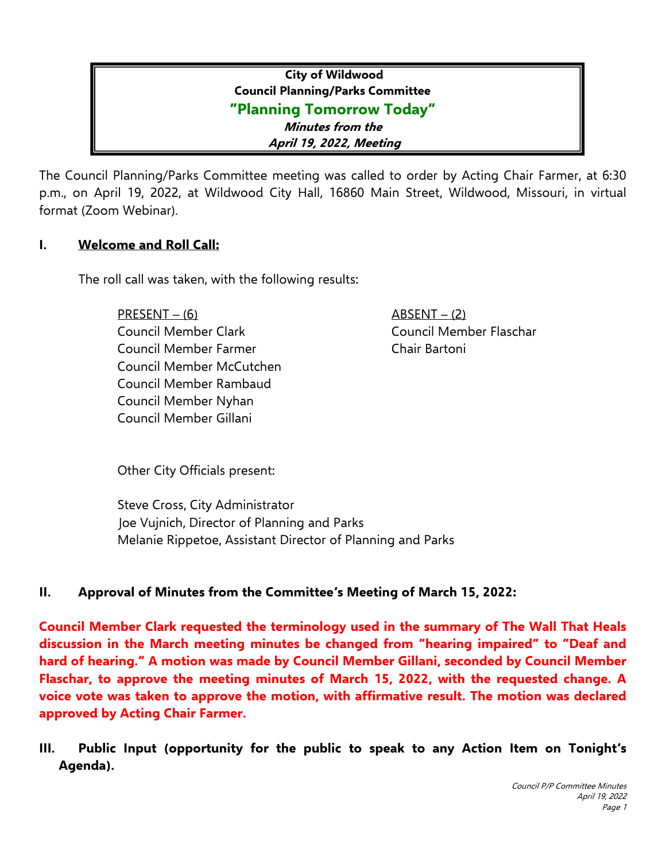# **City of Wildwood Council Planning/Parks Committee "Planning Tomorrow Today" Minutes from the April 19, 2022, Meeting**

The Council Planning/Parks Committee meeting was called to order by Acting Chair Farmer, at 6:30 p.m., on April 19, 2022, at Wildwood City Hall, 16860 Main Street, Wildwood, Missouri, in virtual format (Zoom Webinar).

### **I. Welcome and Roll Call:**

The roll call was taken, with the following results:

PRESENT – (6) ABSENT – (2) Council Member Clark Council Member Flaschar Council Member Farmer Chair Bartoni Council Member McCutchen Council Member Rambaud Council Member Nyhan Council Member Gillani

Other City Officials present:

Steve Cross, City Administrator Joe Vujnich, Director of Planning and Parks Melanie Rippetoe, Assistant Director of Planning and Parks

### **II. Approval of Minutes from the Committee's Meeting of March 15, 2022:**

**Council Member Clark requested the terminology used in the summary of The Wall That Heals discussion in the March meeting minutes be changed from "hearing impaired" to "Deaf and hard of hearing." A motion was made by Council Member Gillani, seconded by Council Member Flaschar, to approve the meeting minutes of March 15, 2022, with the requested change. A voice vote was taken to approve the motion, with affirmative result. The motion was declared approved by Acting Chair Farmer.**

**III. Public Input (opportunity for the public to speak to any Action Item on Tonight's Agenda).**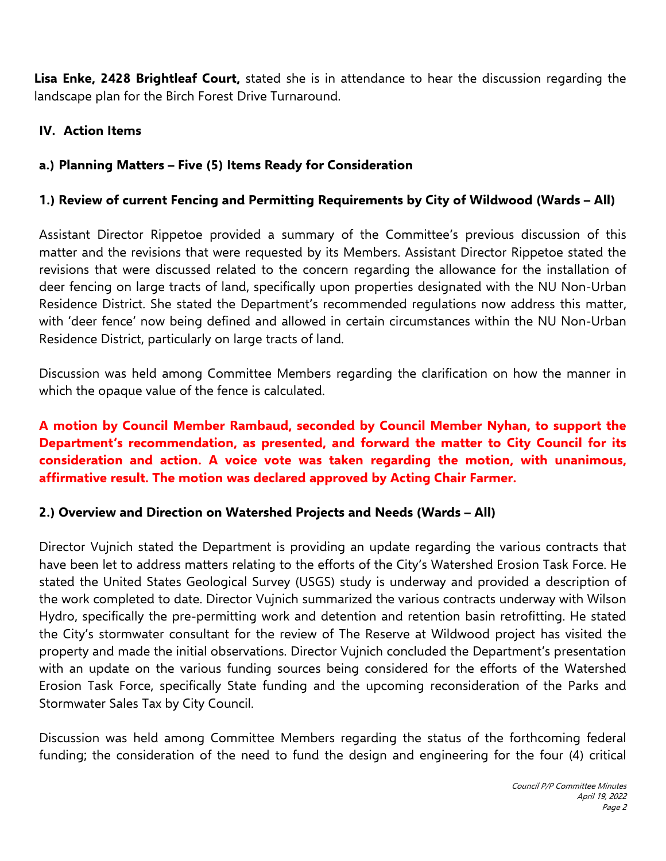**Lisa Enke, 2428 Brightleaf Court,** stated she is in attendance to hear the discussion regarding the landscape plan for the Birch Forest Drive Turnaround.

### **IV. Action Items**

### **a.) Planning Matters – Five (5) Items Ready for Consideration**

### **1.) Review of current Fencing and Permitting Requirements by City of Wildwood (Wards – All)**

Assistant Director Rippetoe provided a summary of the Committee's previous discussion of this matter and the revisions that were requested by its Members. Assistant Director Rippetoe stated the revisions that were discussed related to the concern regarding the allowance for the installation of deer fencing on large tracts of land, specifically upon properties designated with the NU Non-Urban Residence District. She stated the Department's recommended regulations now address this matter, with 'deer fence' now being defined and allowed in certain circumstances within the NU Non-Urban Residence District, particularly on large tracts of land.

Discussion was held among Committee Members regarding the clarification on how the manner in which the opaque value of the fence is calculated.

## **A motion by Council Member Rambaud, seconded by Council Member Nyhan, to support the Department's recommendation, as presented, and forward the matter to City Council for its consideration and action. A voice vote was taken regarding the motion, with unanimous, affirmative result. The motion was declared approved by Acting Chair Farmer.**

#### **2.) Overview and Direction on Watershed Projects and Needs (Wards – All)**

Director Vujnich stated the Department is providing an update regarding the various contracts that have been let to address matters relating to the efforts of the City's Watershed Erosion Task Force. He stated the United States Geological Survey (USGS) study is underway and provided a description of the work completed to date. Director Vujnich summarized the various contracts underway with Wilson Hydro, specifically the pre-permitting work and detention and retention basin retrofitting. He stated the City's stormwater consultant for the review of The Reserve at Wildwood project has visited the property and made the initial observations. Director Vujnich concluded the Department's presentation with an update on the various funding sources being considered for the efforts of the Watershed Erosion Task Force, specifically State funding and the upcoming reconsideration of the Parks and Stormwater Sales Tax by City Council.

Discussion was held among Committee Members regarding the status of the forthcoming federal funding; the consideration of the need to fund the design and engineering for the four (4) critical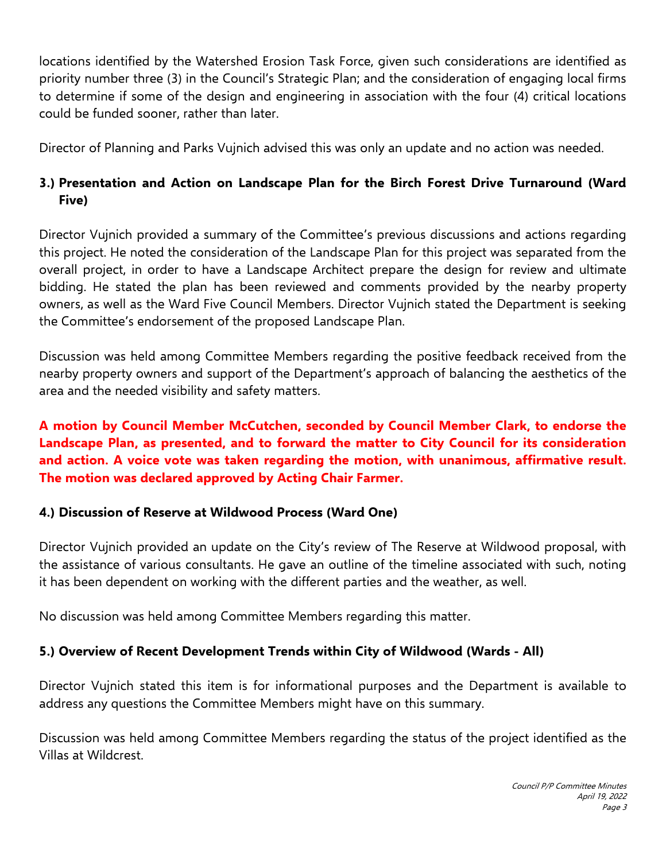locations identified by the Watershed Erosion Task Force, given such considerations are identified as priority number three (3) in the Council's Strategic Plan; and the consideration of engaging local firms to determine if some of the design and engineering in association with the four (4) critical locations could be funded sooner, rather than later.

Director of Planning and Parks Vujnich advised this was only an update and no action was needed.

# **3.) Presentation and Action on Landscape Plan for the Birch Forest Drive Turnaround (Ward Five)**

Director Vujnich provided a summary of the Committee's previous discussions and actions regarding this project. He noted the consideration of the Landscape Plan for this project was separated from the overall project, in order to have a Landscape Architect prepare the design for review and ultimate bidding. He stated the plan has been reviewed and comments provided by the nearby property owners, as well as the Ward Five Council Members. Director Vujnich stated the Department is seeking the Committee's endorsement of the proposed Landscape Plan.

Discussion was held among Committee Members regarding the positive feedback received from the nearby property owners and support of the Department's approach of balancing the aesthetics of the area and the needed visibility and safety matters.

## **A motion by Council Member McCutchen, seconded by Council Member Clark, to endorse the Landscape Plan, as presented, and to forward the matter to City Council for its consideration and action. A voice vote was taken regarding the motion, with unanimous, affirmative result. The motion was declared approved by Acting Chair Farmer.**

### **4.) Discussion of Reserve at Wildwood Process (Ward One)**

Director Vujnich provided an update on the City's review of The Reserve at Wildwood proposal, with the assistance of various consultants. He gave an outline of the timeline associated with such, noting it has been dependent on working with the different parties and the weather, as well.

No discussion was held among Committee Members regarding this matter.

### **5.) Overview of Recent Development Trends within City of Wildwood (Wards - All)**

Director Vujnich stated this item is for informational purposes and the Department is available to address any questions the Committee Members might have on this summary.

Discussion was held among Committee Members regarding the status of the project identified as the Villas at Wildcrest.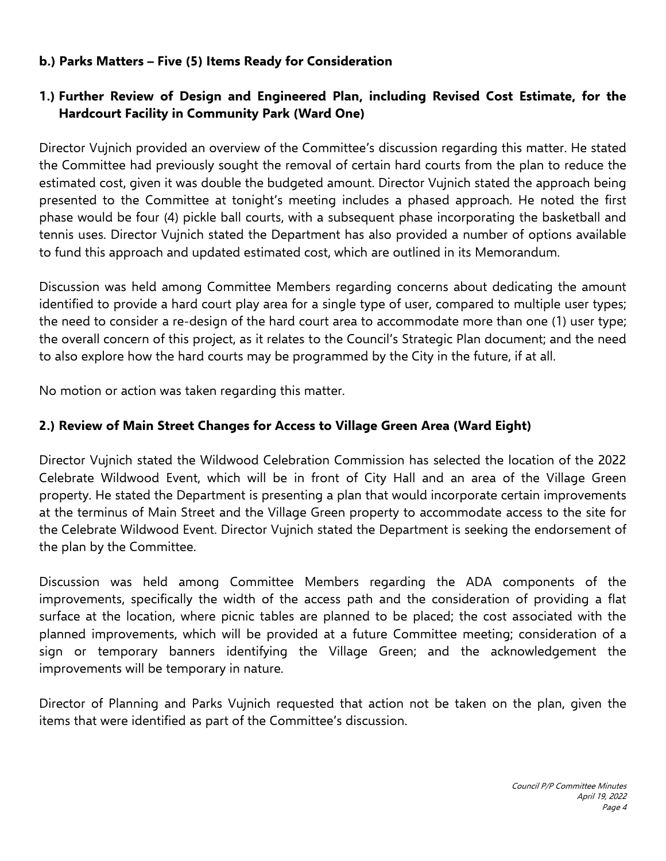#### **b.) Parks Matters – Five (5) Items Ready for Consideration**

### **1.) Further Review of Design and Engineered Plan, including Revised Cost Estimate, for the Hardcourt Facility in Community Park (Ward One)**

Director Vujnich provided an overview of the Committee's discussion regarding this matter. He stated the Committee had previously sought the removal of certain hard courts from the plan to reduce the estimated cost, given it was double the budgeted amount. Director Vujnich stated the approach being presented to the Committee at tonight's meeting includes a phased approach. He noted the first phase would be four (4) pickle ball courts, with a subsequent phase incorporating the basketball and tennis uses. Director Vujnich stated the Department has also provided a number of options available to fund this approach and updated estimated cost, which are outlined in its Memorandum.

Discussion was held among Committee Members regarding concerns about dedicating the amount identified to provide a hard court play area for a single type of user, compared to multiple user types; the need to consider a re-design of the hard court area to accommodate more than one (1) user type; the overall concern of this project, as it relates to the Council's Strategic Plan document; and the need to also explore how the hard courts may be programmed by the City in the future, if at all.

No motion or action was taken regarding this matter.

### **2.) Review of Main Street Changes for Access to Village Green Area (Ward Eight)**

Director Vujnich stated the Wildwood Celebration Commission has selected the location of the 2022 Celebrate Wildwood Event, which will be in front of City Hall and an area of the Village Green property. He stated the Department is presenting a plan that would incorporate certain improvements at the terminus of Main Street and the Village Green property to accommodate access to the site for the Celebrate Wildwood Event. Director Vujnich stated the Department is seeking the endorsement of the plan by the Committee.

Discussion was held among Committee Members regarding the ADA components of the improvements, specifically the width of the access path and the consideration of providing a flat surface at the location, where picnic tables are planned to be placed; the cost associated with the planned improvements, which will be provided at a future Committee meeting; consideration of a sign or temporary banners identifying the Village Green; and the acknowledgement the improvements will be temporary in nature.

Director of Planning and Parks Vujnich requested that action not be taken on the plan, given the items that were identified as part of the Committee's discussion.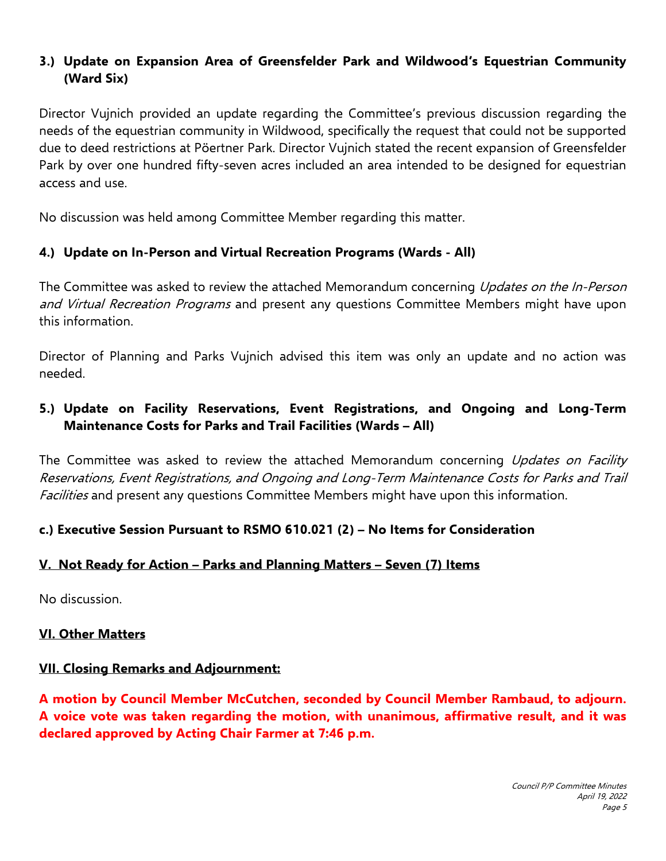### **3.) Update on Expansion Area of Greensfelder Park and Wildwood's Equestrian Community (Ward Six)**

Director Vujnich provided an update regarding the Committee's previous discussion regarding the needs of the equestrian community in Wildwood, specifically the request that could not be supported due to deed restrictions at Pöertner Park. Director Vujnich stated the recent expansion of Greensfelder Park by over one hundred fifty-seven acres included an area intended to be designed for equestrian access and use.

No discussion was held among Committee Member regarding this matter.

#### **4.) Update on In-Person and Virtual Recreation Programs (Wards - All)**

The Committee was asked to review the attached Memorandum concerning *Updates on the In-Person* and Virtual Recreation Programs and present any questions Committee Members might have upon this information.

Director of Planning and Parks Vujnich advised this item was only an update and no action was needed.

## **5.) Update on Facility Reservations, Event Registrations, and Ongoing and Long-Term Maintenance Costs for Parks and Trail Facilities (Wards – All)**

The Committee was asked to review the attached Memorandum concerning Updates on Facility Reservations, Event Registrations, and Ongoing and Long-Term Maintenance Costs for Parks and Trail Facilities and present any questions Committee Members might have upon this information.

### **c.) Executive Session Pursuant to RSMO 610.021 (2) – No Items for Consideration**

#### **V. Not Ready for Action – Parks and Planning Matters – Seven (7) Items**

No discussion.

#### **VI. Other Matters**

#### **VII. Closing Remarks and Adjournment:**

**A motion by Council Member McCutchen, seconded by Council Member Rambaud, to adjourn. A voice vote was taken regarding the motion, with unanimous, affirmative result, and it was declared approved by Acting Chair Farmer at 7:46 p.m.**